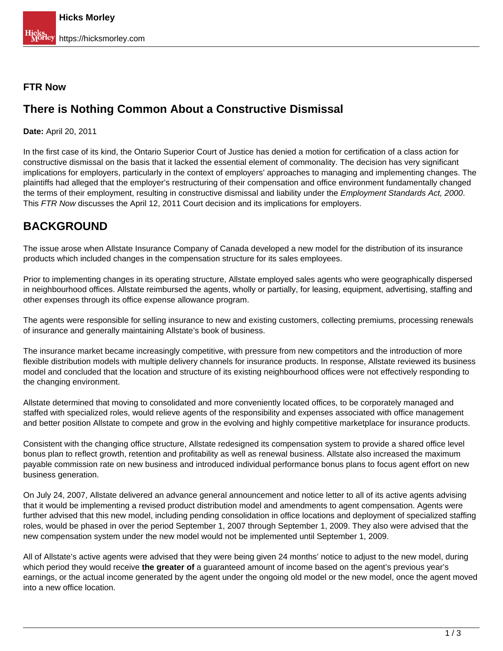#### **FTR Now**

### **There is Nothing Common About a Constructive Dismissal**

**Date:** April 20, 2011

In the first case of its kind, the Ontario Superior Court of Justice has denied a motion for certification of a class action for constructive dismissal on the basis that it lacked the essential element of commonality. The decision has very significant implications for employers, particularly in the context of employers' approaches to managing and implementing changes. The plaintiffs had alleged that the employer's restructuring of their compensation and office environment fundamentally changed the terms of their employment, resulting in constructive dismissal and liability under the *Employment Standards Act, 2000*. This FTR Now discusses the April 12, 2011 Court decision and its implications for employers.

## **BACKGROUND**

The issue arose when Allstate Insurance Company of Canada developed a new model for the distribution of its insurance products which included changes in the compensation structure for its sales employees.

Prior to implementing changes in its operating structure, Allstate employed sales agents who were geographically dispersed in neighbourhood offices. Allstate reimbursed the agents, wholly or partially, for leasing, equipment, advertising, staffing and other expenses through its office expense allowance program.

The agents were responsible for selling insurance to new and existing customers, collecting premiums, processing renewals of insurance and generally maintaining Allstate's book of business.

The insurance market became increasingly competitive, with pressure from new competitors and the introduction of more flexible distribution models with multiple delivery channels for insurance products. In response, Allstate reviewed its business model and concluded that the location and structure of its existing neighbourhood offices were not effectively responding to the changing environment.

Allstate determined that moving to consolidated and more conveniently located offices, to be corporately managed and staffed with specialized roles, would relieve agents of the responsibility and expenses associated with office management and better position Allstate to compete and grow in the evolving and highly competitive marketplace for insurance products.

Consistent with the changing office structure, Allstate redesigned its compensation system to provide a shared office level bonus plan to reflect growth, retention and profitability as well as renewal business. Allstate also increased the maximum payable commission rate on new business and introduced individual performance bonus plans to focus agent effort on new business generation.

On July 24, 2007, Allstate delivered an advance general announcement and notice letter to all of its active agents advising that it would be implementing a revised product distribution model and amendments to agent compensation. Agents were further advised that this new model, including pending consolidation in office locations and deployment of specialized staffing roles, would be phased in over the period September 1, 2007 through September 1, 2009. They also were advised that the new compensation system under the new model would not be implemented until September 1, 2009.

All of Allstate's active agents were advised that they were being given 24 months' notice to adjust to the new model, during which period they would receive **the greater of** a guaranteed amount of income based on the agent's previous year's earnings, or the actual income generated by the agent under the ongoing old model or the new model, once the agent moved into a new office location.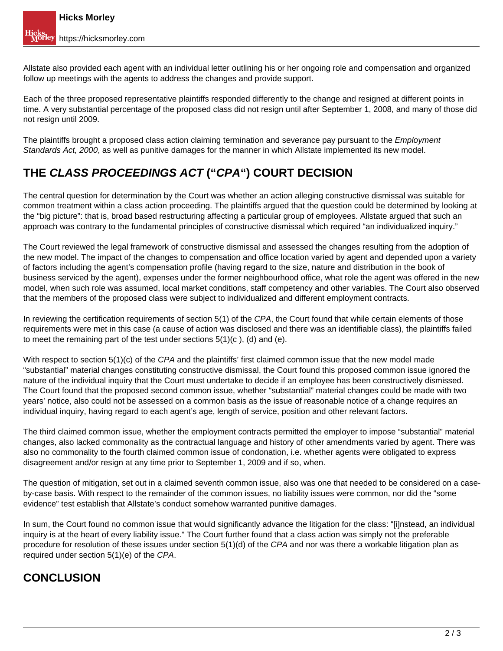Allstate also provided each agent with an individual letter outlining his or her ongoing role and compensation and organized follow up meetings with the agents to address the changes and provide support.

Each of the three proposed representative plaintiffs responded differently to the change and resigned at different points in time. A very substantial percentage of the proposed class did not resign until after September 1, 2008, and many of those did not resign until 2009.

The plaintiffs brought a proposed class action claiming termination and severance pay pursuant to the *Employment* Standards Act, 2000, as well as punitive damages for the manner in which Allstate implemented its new model.

# **THE CLASS PROCEEDINGS ACT ("CPA") COURT DECISION**

The central question for determination by the Court was whether an action alleging constructive dismissal was suitable for common treatment within a class action proceeding. The plaintiffs argued that the question could be determined by looking at the "big picture": that is, broad based restructuring affecting a particular group of employees. Allstate argued that such an approach was contrary to the fundamental principles of constructive dismissal which required "an individualized inquiry."

The Court reviewed the legal framework of constructive dismissal and assessed the changes resulting from the adoption of the new model. The impact of the changes to compensation and office location varied by agent and depended upon a variety of factors including the agent's compensation profile (having regard to the size, nature and distribution in the book of business serviced by the agent), expenses under the former neighbourhood office, what role the agent was offered in the new model, when such role was assumed, local market conditions, staff competency and other variables. The Court also observed that the members of the proposed class were subject to individualized and different employment contracts.

In reviewing the certification requirements of section 5(1) of the CPA, the Court found that while certain elements of those requirements were met in this case (a cause of action was disclosed and there was an identifiable class), the plaintiffs failed to meet the remaining part of the test under sections 5(1)(c ), (d) and (e).

With respect to section  $5(1)(c)$  of the CPA and the plaintiffs' first claimed common issue that the new model made "substantial" material changes constituting constructive dismissal, the Court found this proposed common issue ignored the nature of the individual inquiry that the Court must undertake to decide if an employee has been constructively dismissed. The Court found that the proposed second common issue, whether "substantial" material changes could be made with two years' notice, also could not be assessed on a common basis as the issue of reasonable notice of a change requires an individual inquiry, having regard to each agent's age, length of service, position and other relevant factors.

The third claimed common issue, whether the employment contracts permitted the employer to impose "substantial" material changes, also lacked commonality as the contractual language and history of other amendments varied by agent. There was also no commonality to the fourth claimed common issue of condonation, i.e. whether agents were obligated to express disagreement and/or resign at any time prior to September 1, 2009 and if so, when.

The question of mitigation, set out in a claimed seventh common issue, also was one that needed to be considered on a caseby-case basis. With respect to the remainder of the common issues, no liability issues were common, nor did the "some evidence" test establish that Allstate's conduct somehow warranted punitive damages.

In sum, the Court found no common issue that would significantly advance the litigation for the class: "[i]nstead, an individual inquiry is at the heart of every liability issue." The Court further found that a class action was simply not the preferable procedure for resolution of these issues under section 5(1)(d) of the CPA and nor was there a workable litigation plan as required under section 5(1)(e) of the CPA.

# **CONCLUSION**